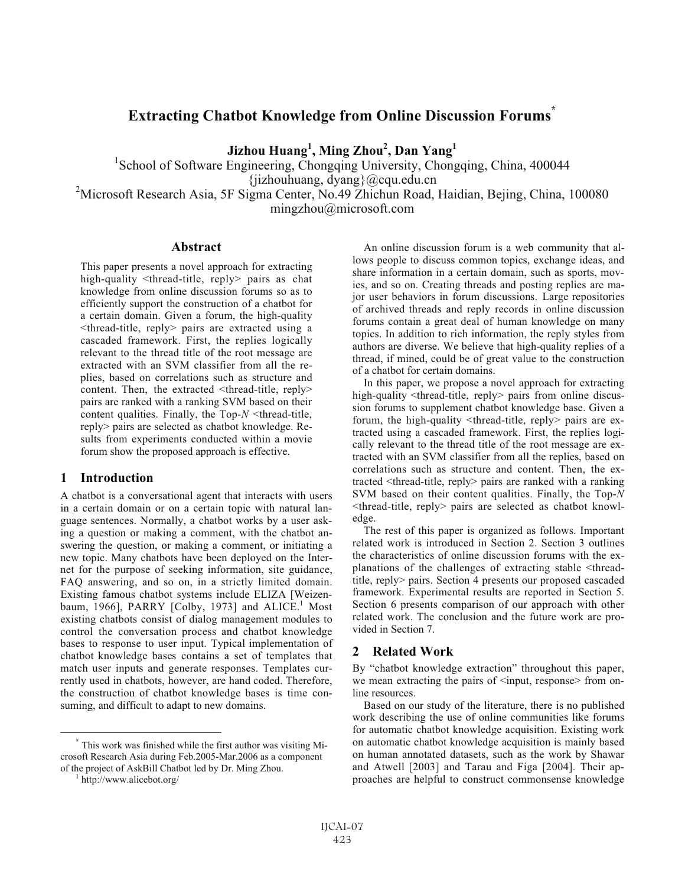# **Extracting Chatbot Knowledge from Online Discussion Forums\***

**Jizhou Huang<sup>1</sup> , Ming Zhou2 , Dan Yang1**

<sup>1</sup>School of Software Engineering, Chongqing University, Chongqing, China, 400044 {jizhouhuang, dyang}@cqu.edu.cn <sup>2</sup> Microsoft Research Asia, 5F Sigma Center, No.49 Zhichun Road, Haidian, Bejing, China, 100080 mingzhou@microsoft.com

## **Abstract**

This paper presents a novel approach for extracting high-quality <thread-title, reply> pairs as chat knowledge from online discussion forums so as to efficiently support the construction of a chatbot for a certain domain. Given a forum, the high-quality <thread-title, reply> pairs are extracted using a cascaded framework. First, the replies logically relevant to the thread title of the root message are extracted with an SVM classifier from all the replies, based on correlations such as structure and content. Then, the extracted  $\leq$ thread-title, reply $>$ pairs are ranked with a ranking SVM based on their content qualities. Finally, the Top-*N* <thread-title, reply> pairs are selected as chatbot knowledge. Results from experiments conducted within a movie forum show the proposed approach is effective.

#### **1 Introduction**

A chatbot is a conversational agent that interacts with users in a certain domain or on a certain topic with natural language sentences. Normally, a chatbot works by a user asking a question or making a comment, with the chatbot answering the question, or making a comment, or initiating a new topic. Many chatbots have been deployed on the Internet for the purpose of seeking information, site guidance, FAQ answering, and so on, in a strictly limited domain. Existing famous chatbot systems include ELIZA [Weizenbaum, 1966], PARRY [Colby, 1973] and  $ALICE<sup>1</sup>$  Most existing chatbots consist of dialog management modules to control the conversation process and chatbot knowledge bases to response to user input. Typical implementation of chatbot knowledge bases contains a set of templates that match user inputs and generate responses. Templates currently used in chatbots, however, are hand coded. Therefore, the construction of chatbot knowledge bases is time consuming, and difficult to adapt to new domains.

An online discussion forum is a web community that allows people to discuss common topics, exchange ideas, and share information in a certain domain, such as sports, movies, and so on. Creating threads and posting replies are major user behaviors in forum discussions. Large repositories of archived threads and reply records in online discussion forums contain a great deal of human knowledge on many topics. In addition to rich information, the reply styles from authors are diverse. We believe that high-quality replies of a thread, if mined, could be of great value to the construction of a chatbot for certain domains.

In this paper, we propose a novel approach for extracting high-quality <thread-title, reply> pairs from online discussion forums to supplement chatbot knowledge base. Given a forum, the high-quality <thread-title, reply> pairs are extracted using a cascaded framework. First, the replies logically relevant to the thread title of the root message are extracted with an SVM classifier from all the replies, based on correlations such as structure and content. Then, the extracted <thread-title, reply> pairs are ranked with a ranking SVM based on their content qualities. Finally, the Top-*N* <thread-title, reply> pairs are selected as chatbot knowledge.

The rest of this paper is organized as follows. Important related work is introduced in Section 2. Section 3 outlines the characteristics of online discussion forums with the explanations of the challenges of extracting stable <threadtitle, reply> pairs. Section 4 presents our proposed cascaded framework. Experimental results are reported in Section 5. Section 6 presents comparison of our approach with other related work. The conclusion and the future work are provided in Section 7.

#### **2 Related Work**

By "chatbot knowledge extraction" throughout this paper, we mean extracting the pairs of  $\leq$ input, response> from online resources.

Based on our study of the literature, there is no published work describing the use of online communities like forums for automatic chatbot knowledge acquisition. Existing work on automatic chatbot knowledge acquisition is mainly based on human annotated datasets, such as the work by Shawar and Atwell [2003] and Tarau and Figa [2004]. Their approaches are helpful to construct commonsense knowledge

<sup>\*</sup> This work was finished while the first author was visiting Microsoft Research Asia during Feb.2005-Mar.2006 as a component of the project of AskBill Chatbot led by Dr. Ming Zhou. <sup>1</sup>

http://www.alicebot.org/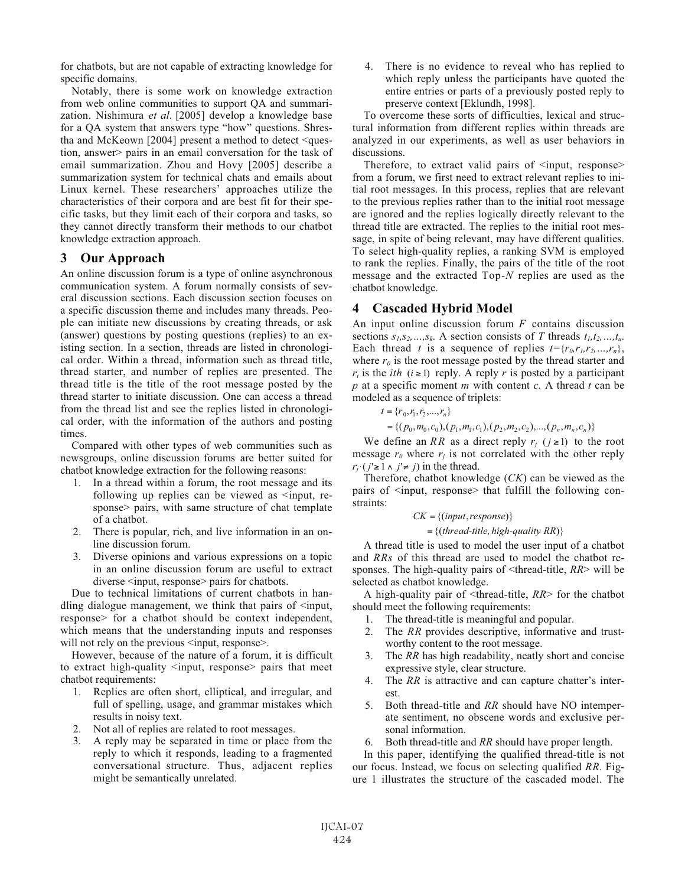for chatbots, but are not capable of extracting knowledge for specific domains.

Notably, there is some work on knowledge extraction from web online communities to support QA and summarization. Nishimura *et al*. [2005] develop a knowledge base for a QA system that answers type "how" questions. Shrestha and McKeown [2004] present a method to detect <question, answer> pairs in an email conversation for the task of email summarization. Zhou and Hovy [2005] describe a summarization system for technical chats and emails about Linux kernel. These researchers' approaches utilize the characteristics of their corpora and are best fit for their specific tasks, but they limit each of their corpora and tasks, so they cannot directly transform their methods to our chatbot knowledge extraction approach.

## **3 Our Approach**

An online discussion forum is a type of online asynchronous communication system. A forum normally consists of several discussion sections. Each discussion section focuses on a specific discussion theme and includes many threads. People can initiate new discussions by creating threads, or ask (answer) questions by posting questions (replies) to an existing section. In a section, threads are listed in chronological order. Within a thread, information such as thread title, thread starter, and number of replies are presented. The thread title is the title of the root message posted by the thread starter to initiate discussion. One can access a thread from the thread list and see the replies listed in chronological order, with the information of the authors and posting times.

Compared with other types of web communities such as newsgroups, online discussion forums are better suited for chatbot knowledge extraction for the following reasons:

- 1. In a thread within a forum, the root message and its following up replies can be viewed as  $\leq$ input, response> pairs, with same structure of chat template of a chatbot.
- 2. There is popular, rich, and live information in an online discussion forum.
- 3. Diverse opinions and various expressions on a topic in an online discussion forum are useful to extract diverse  $\leq$ input, response pairs for chatbots.

Due to technical limitations of current chatbots in handling dialogue management, we think that pairs of  $\leq$ input, response> for a chatbot should be context independent, which means that the understanding inputs and responses will not rely on the previous  $\leq$ input, response $\geq$ .

However, because of the nature of a forum, it is difficult to extract high-quality <input, response> pairs that meet chatbot requirements:

- 1. Replies are often short, elliptical, and irregular, and full of spelling, usage, and grammar mistakes which results in noisy text.
- 2. Not all of replies are related to root messages.
- 3. A reply may be separated in time or place from the reply to which it responds, leading to a fragmented conversational structure. Thus, adjacent replies might be semantically unrelated.

4. There is no evidence to reveal who has replied to which reply unless the participants have quoted the entire entries or parts of a previously posted reply to preserve context [Eklundh, 1998].

To overcome these sorts of difficulties, lexical and structural information from different replies within threads are analyzed in our experiments, as well as user behaviors in discussions.

Therefore, to extract valid pairs of  $\leq$ input, response $\geq$ from a forum, we first need to extract relevant replies to initial root messages. In this process, replies that are relevant to the previous replies rather than to the initial root message are ignored and the replies logically directly relevant to the thread title are extracted. The replies to the initial root message, in spite of being relevant, may have different qualities. To select high-quality replies, a ranking SVM is employed to rank the replies. Finally, the pairs of the title of the root message and the extracted Top-*N* replies are used as the chatbot knowledge.

## **4 Cascaded Hybrid Model**

An input online discussion forum *F* contains discussion sections  $s_1, s_2, ..., s_k$ . A section consists of *T* threads  $t_1, t_2, ..., t_u$ . Each thread *t* is a sequence of replies  $t = {r_0, r_1, r_2, ..., r_n}$ , where  $r_0$  is the root message posted by the thread starter and  $r_i$  is the *ith* ( $i \ge 1$ ) reply. A reply *r* is posted by a participant *p* at a specific moment *m* with content *c.* A thread *t* can be modeled as a sequence of triplets:

$$
t = \{r_0, r_1, r_2, \dots, r_n\}
$$

 ${((p_0, m_0, c_0), (p_1, m_1, c_1), (p_2, m_2, c_2), ..., (p_n, m_n, c_n)}$ 

We define an *RR* as a direct reply  $r_j$  ( $j \ge 1$ ) to the root message  $r_0$  where  $r_i$  is not correlated with the other reply  $r_{j'}(j' \geq 1 \land j' \neq j)$  in the thread.

Therefore, chatbot knowledge (*CK*) can be viewed as the pairs of  $\leq$ input, response> that fulfill the following constraints:

#### $CK = \{ (input, response) \}$

 $=\{(thread\text{-}title, high-quality RR)\}$ 

A thread title is used to model the user input of a chatbot and *RRs* of this thread are used to model the chatbot responses. The high-quality pairs of <thread-title, *RR*> will be selected as chatbot knowledge.

A high-quality pair of <thread-title, *RR*> for the chatbot should meet the following requirements:

- 1. The thread-title is meaningful and popular.
- 2. The *RR* provides descriptive, informative and trustworthy content to the root message.
- 3. The *RR* has high readability, neatly short and concise expressive style, clear structure.
- 4. The *RR* is attractive and can capture chatter's interest.
- 5. Both thread-title and *RR* should have NO intemperate sentiment, no obscene words and exclusive personal information.
- 6. Both thread-title and *RR* should have proper length.

In this paper, identifying the qualified thread-title is not our focus. Instead, we focus on selecting qualified *RR*. Figure 1 illustrates the structure of the cascaded model. The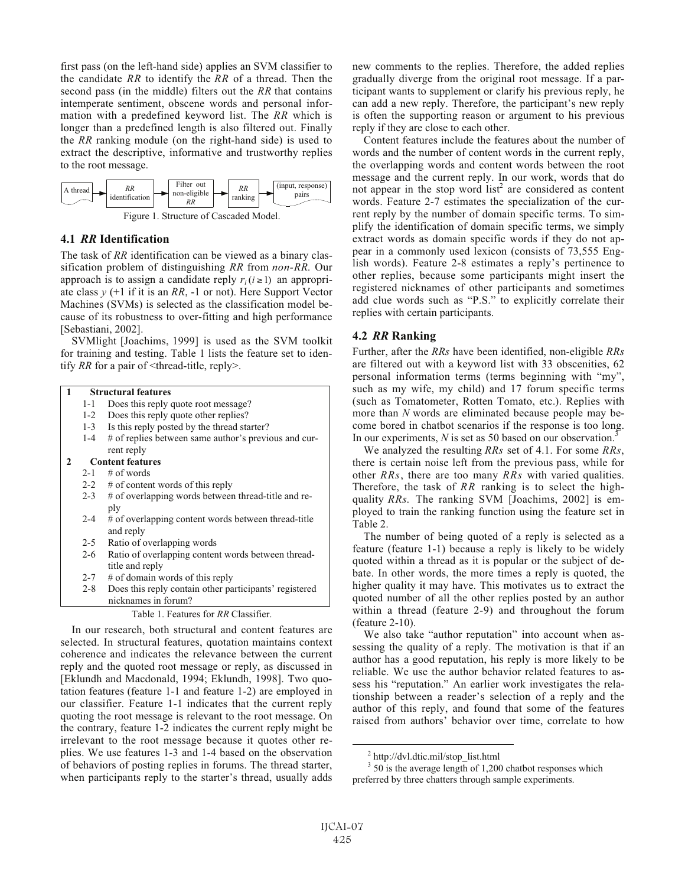first pass (on the left-hand side) applies an SVM classifier to the candidate *RR* to identify the *RR* of a thread. Then the second pass (in the middle) filters out the *RR* that contains intemperate sentiment, obscene words and personal information with a predefined keyword list. The *RR* which is longer than a predefined length is also filtered out. Finally the *RR* ranking module (on the right-hand side) is used to extract the descriptive, informative and trustworthy replies to the root message.



#### **4.1** *RR* **Identification**

The task of *RR* identification can be viewed as a binary classification problem of distinguishing *RR* from *non-RR*. Our approach is to assign a candidate reply  $r_i$  ( $i \ge 1$ ) an appropriate class  $y$  (+1 if it is an RR, -1 or not). Here Support Vector Machines (SVMs) is selected as the classification model because of its robustness to over-fitting and high performance [Sebastiani, 2002].

SVMlight [Joachims, 1999] is used as the SVM toolkit for training and testing. Table 1 lists the feature set to identify *RR* for a pair of  $\leq$ thread-title, reply $\geq$ .

#### **1 Structural features**

- 1-1 Does this reply quote root message?
- 1-2 Does this reply quote other replies?
- 1-3 Is this reply posted by the thread starter?
- 1-4 # of replies between same author's previous and current reply

## **2 Content features**

- $2-1$  # of words
- 2-2 # of content words of this reply
- 2-3 # of overlapping words between thread-title and reply
- 2-4 # of overlapping content words between thread-title and reply
- 2-5 Ratio of overlapping words
- 2-6 Ratio of overlapping content words between threadtitle and reply
- 2-7 # of domain words of this reply
- 2-8 Does this reply contain other participants' registered nicknames in forum?

#### Table 1. Features for *RR* Classifier.

In our research, both structural and content features are selected. In structural features, quotation maintains context coherence and indicates the relevance between the current reply and the quoted root message or reply, as discussed in [Eklundh and Macdonald, 1994; Eklundh, 1998]. Two quotation features (feature 1-1 and feature 1-2) are employed in our classifier. Feature 1-1 indicates that the current reply quoting the root message is relevant to the root message. On the contrary, feature 1-2 indicates the current reply might be irrelevant to the root message because it quotes other replies. We use features 1-3 and 1-4 based on the observation of behaviors of posting replies in forums. The thread starter, when participants reply to the starter's thread, usually adds new comments to the replies. Therefore, the added replies gradually diverge from the original root message. If a participant wants to supplement or clarify his previous reply, he can add a new reply. Therefore, the participant's new reply is often the supporting reason or argument to his previous reply if they are close to each other.

Content features include the features about the number of words and the number of content words in the current reply, the overlapping words and content words between the root message and the current reply. In our work, words that do not appear in the stop word  $list^2$  are considered as content words. Feature 2-7 estimates the specialization of the current reply by the number of domain specific terms. To simplify the identification of domain specific terms, we simply extract words as domain specific words if they do not appear in a commonly used lexicon (consists of 73,555 English words). Feature 2-8 estimates a reply's pertinence to other replies, because some participants might insert the registered nicknames of other participants and sometimes add clue words such as "P.S." to explicitly correlate their replies with certain participants.

## **4.2** *RR* **Ranking**

Further, after the *RRs* have been identified, non-eligible *RRs* are filtered out with a keyword list with 33 obscenities, 62 personal information terms (terms beginning with "my", such as my wife, my child) and 17 forum specific terms (such as Tomatometer, Rotten Tomato, etc.). Replies with more than *N* words are eliminated because people may become bored in chatbot scenarios if the response is too long. In our experiments, *N* is set as 50 based on our observation.<sup>3</sup>

We analyzed the resulting *RRs* set of 4.1. For some *RRs*, there is certain noise left from the previous pass, while for other *RRs*, there are too many *RRs* with varied qualities. Therefore, the task of *RR* ranking is to select the highquality *RRs*. The ranking SVM [Joachims, 2002] is employed to train the ranking function using the feature set in Table 2.

The number of being quoted of a reply is selected as a feature (feature 1-1) because a reply is likely to be widely quoted within a thread as it is popular or the subject of debate. In other words, the more times a reply is quoted, the higher quality it may have. This motivates us to extract the quoted number of all the other replies posted by an author within a thread (feature 2-9) and throughout the forum (feature 2-10).

We also take "author reputation" into account when assessing the quality of a reply. The motivation is that if an author has a good reputation, his reply is more likely to be reliable. We use the author behavior related features to assess his "reputation." An earlier work investigates the relationship between a reader's selection of a reply and the author of this reply, and found that some of the features raised from authors' behavior over time, correlate to how

<sup>3</sup> 50 is the average length of 1,200 chatbot responses which preferred by three chatters through sample experiments.

<sup>&</sup>lt;sup>2</sup> http://dvl.dtic.mil/stop\_list.html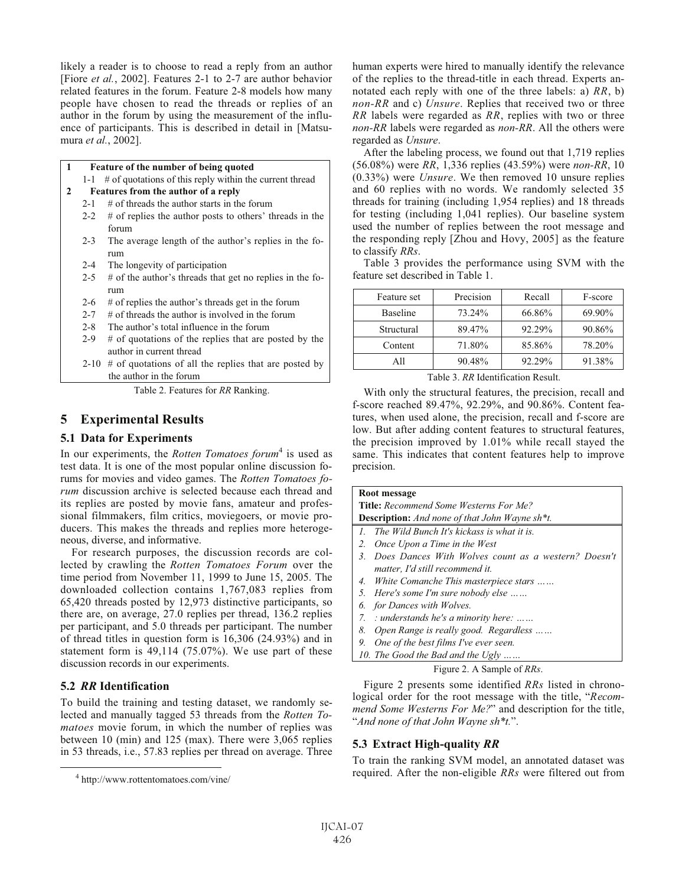likely a reader is to choose to read a reply from an author [Fiore *et al.*, 2002]. Features 2-1 to 2-7 are author behavior related features in the forum. Feature 2-8 models how many people have chosen to read the threads or replies of an author in the forum by using the measurement of the influence of participants. This is described in detail in [Matsumura *et al.*, 2002].

| 1 | Feature of the number of being quoted |                                                               |  |
|---|---------------------------------------|---------------------------------------------------------------|--|
|   | $1-1$                                 | # of quotations of this reply within the current thread       |  |
| 2 | Features from the author of a reply   |                                                               |  |
|   | $2 - 1$                               | $#$ of threads the author starts in the forum                 |  |
|   | $2 - 2$                               | # of replies the author posts to others' threads in the       |  |
|   |                                       | forum                                                         |  |
|   | $2 - 3$                               | The average length of the author's replies in the fo-         |  |
|   |                                       | rum                                                           |  |
|   | $2 - 4$                               | The longevity of participation                                |  |
|   | $2 - 5$                               | # of the author's threads that get no replies in the fo-      |  |
|   |                                       | rum                                                           |  |
|   | $2 - 6$                               | # of replies the author's threads get in the forum            |  |
|   | $2 - 7$                               | $#$ of threads the author is involved in the forum            |  |
|   | $2 - 8$                               | The author's total influence in the forum                     |  |
|   | $2 - 9$                               | # of quotations of the replies that are posted by the         |  |
|   |                                       | author in current thread                                      |  |
|   |                                       | 2-10 $\#$ of quotations of all the replies that are posted by |  |
|   |                                       | the author in the forum                                       |  |

Table 2. Features for *RR* Ranking.

## **5 Experimental Results**

#### **5.1 Data for Experiments**

In our experiments, the *Rotten Tomatoes forum*<sup>4</sup> is used as test data. It is one of the most popular online discussion forums for movies and video games. The *Rotten Tomatoes forum* discussion archive is selected because each thread and its replies are posted by movie fans, amateur and professional filmmakers, film critics, moviegoers, or movie producers. This makes the threads and replies more heterogeneous, diverse, and informative.

For research purposes, the discussion records are collected by crawling the *Rotten Tomatoes Forum* over the time period from November 11, 1999 to June 15, 2005. The downloaded collection contains 1,767,083 replies from 65,420 threads posted by 12,973 distinctive participants, so there are, on average, 27.0 replies per thread, 136.2 replies per participant, and 5.0 threads per participant. The number of thread titles in question form is 16,306 (24.93%) and in statement form is 49,114 (75.07%). We use part of these discussion records in our experiments.

#### **5.2** *RR* **Identification**

To build the training and testing dataset, we randomly selected and manually tagged 53 threads from the *Rotten Tomatoes* movie forum, in which the number of replies was between 10 (min) and 125 (max). There were 3,065 replies in 53 threads, i.e., 57.83 replies per thread on average. Three human experts were hired to manually identify the relevance of the replies to the thread-title in each thread. Experts annotated each reply with one of the three labels: a) *RR*, b) *non-RR* and c) *Unsure*. Replies that received two or three *RR* labels were regarded as *RR*, replies with two or three *non-RR* labels were regarded as *non-RR*. All the others were regarded as *Unsure*.

After the labeling process, we found out that 1,719 replies (56.08%) were *RR*, 1,336 replies (43.59%) were *non-RR*, 10 (0.33%) were *Unsure*. We then removed 10 unsure replies and 60 replies with no words. We randomly selected 35 threads for training (including 1,954 replies) and 18 threads for testing (including 1,041 replies). Our baseline system used the number of replies between the root message and the responding reply [Zhou and Hovy, 2005] as the feature to classify *RRs*.

Table 3 provides the performance using SVM with the feature set described in Table 1.

| Feature set | Precision | Recall | F-score |
|-------------|-----------|--------|---------|
| Baseline    | 73.24%    | 66.86% | 69.90%  |
| Structural  | 89.47%    | 92.29% | 90.86%  |
| Content     | 71.80%    | 85.86% | 78.20%  |
| A11         | 90.48%    | 92.29% | 91.38%  |

Table 3. *RR* Identification Result.

With only the structural features, the precision, recall and f-score reached 89.47%, 92.29%, and 90.86%. Content features, when used alone, the precision, recall and f-score are low. But after adding content features to structural features, the precision improved by 1.01% while recall stayed the same. This indicates that content features help to improve precision.

| Root message                                                       |  |  |  |  |
|--------------------------------------------------------------------|--|--|--|--|
| <b>Title:</b> Recommend Some Westerns For Me?                      |  |  |  |  |
| <b>Description:</b> And none of that John Wayne sh <sup>*</sup> t. |  |  |  |  |
| The Wild Bunch It's kickass is what it is.<br>$\mathcal{I}$ .      |  |  |  |  |
| Once Upon a Time in the West<br>2.                                 |  |  |  |  |
| Does Dances With Wolves count as a western? Doesn't<br>3           |  |  |  |  |
| matter, I'd still recommend it.                                    |  |  |  |  |
| 4. White Comanche This masterpiece stars                           |  |  |  |  |
| 5. Here's some I'm sure nobody else                                |  |  |  |  |
| 6. for Dances with Wolves.                                         |  |  |  |  |
| : understands he's a minority here:<br>7.                          |  |  |  |  |
| Open Range is really good. Regardless<br>8.                        |  |  |  |  |
| One of the best films I've ever seen.<br>9.                        |  |  |  |  |
| 10. The Good the Bad and the Ugly                                  |  |  |  |  |

Figure 2. A Sample of *RRs*.

Figure 2 presents some identified *RRs* listed in chronological order for the root message with the title, "*Recommend Some Westerns For Me?*" and description for the title, "*And none of that John Wayne sh\*t.*".

## **5.3 Extract High-quality** *RR*

To train the ranking SVM model, an annotated dataset was required. After the non-eligible *RRs* were filtered out from

<sup>4</sup> http://www.rottentomatoes.com/vine/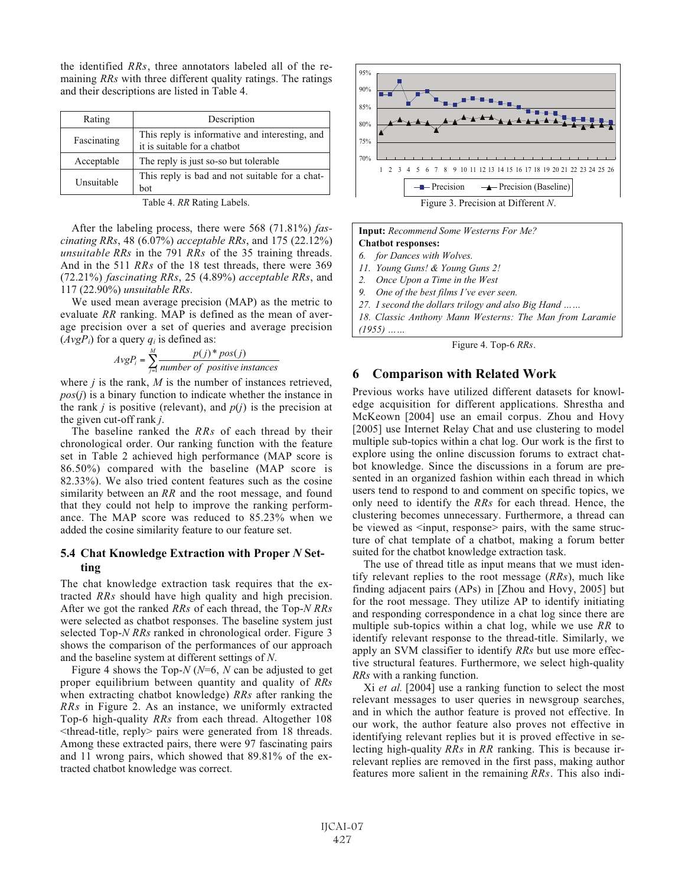the identified *RRs*, three annotators labeled all of the remaining *RRs* with three different quality ratings. The ratings and their descriptions are listed in Table 4.

| Rating      | Description                                                                    |
|-------------|--------------------------------------------------------------------------------|
| Fascinating | This reply is informative and interesting, and<br>it is suitable for a chatbot |
| Acceptable  | The reply is just so-so but tolerable                                          |
| Unsuitable  | This reply is bad and not suitable for a chat-<br>bot                          |

Table 4. *RR* Rating Labels.

After the labeling process, there were 568 (71.81%) *fascinating RRs*, 48 (6.07%) *acceptable RRs*, and 175 (22.12%) *unsuitable RRs* in the 791 *RRs* of the 35 training threads. And in the 511 *RRs* of the 18 test threads, there were 369 (72.21%) *fascinating RRs*, 25 (4.89%) *acceptable RRs*, and 117 (22.90%) *unsuitable RRs*.

We used mean average precision (MAP) as the metric to evaluate *RR* ranking. MAP is defined as the mean of average precision over a set of queries and average precision  $(AvgP_i)$  for a query  $q_i$  is defined as:

$$
AvgP_i = \sum_{j=1}^{M} \frac{p(j)^* pos(j)}{number \ of \ positive \ instances}
$$

where *j* is the rank, *M* is the number of instances retrieved, *pos*(*j*) is a binary function to indicate whether the instance in the rank *j* is positive (relevant), and  $p(j)$  is the precision at the given cut-off rank *j*.

The baseline ranked the *RRs* of each thread by their chronological order. Our ranking function with the feature set in Table 2 achieved high performance (MAP score is 86.50%) compared with the baseline (MAP score is 82.33%). We also tried content features such as the cosine similarity between an *RR* and the root message, and found that they could not help to improve the ranking performance. The MAP score was reduced to 85.23% when we added the cosine similarity feature to our feature set.

#### **5.4 Chat Knowledge Extraction with Proper** *N* **Setting**

The chat knowledge extraction task requires that the extracted *RRs* should have high quality and high precision. After we got the ranked *RRs* of each thread, the Top-*N RRs* were selected as chatbot responses. The baseline system just selected Top-*N RRs* ranked in chronological order. Figure 3 shows the comparison of the performances of our approach and the baseline system at different settings of *N*.

Figure 4 shows the Top-*N* (*N*=6, *N* can be adjusted to get proper equilibrium between quantity and quality of *RRs* when extracting chatbot knowledge) *RRs* after ranking the *RRs* in Figure 2. As an instance, we uniformly extracted Top-6 high-quality *RRs* from each thread. Altogether 108 <thread-title, reply> pairs were generated from 18 threads. Among these extracted pairs, there were 97 fascinating pairs and 11 wrong pairs, which showed that 89.81% of the extracted chatbot knowledge was correct.





Figure 4. Top-6 *RRs*.

#### **6 Comparison with Related Work**

Previous works have utilized different datasets for knowledge acquisition for different applications. Shrestha and McKeown [2004] use an email corpus. Zhou and Hovy [2005] use Internet Relay Chat and use clustering to model multiple sub-topics within a chat log. Our work is the first to explore using the online discussion forums to extract chatbot knowledge. Since the discussions in a forum are presented in an organized fashion within each thread in which users tend to respond to and comment on specific topics, we only need to identify the *RRs* for each thread. Hence, the clustering becomes unnecessary. Furthermore, a thread can be viewed as  $\leq$ input, response> pairs, with the same structure of chat template of a chatbot, making a forum better suited for the chatbot knowledge extraction task.

The use of thread title as input means that we must identify relevant replies to the root message (*RRs*), much like finding adjacent pairs (APs) in [Zhou and Hovy, 2005] but for the root message. They utilize AP to identify initiating and responding correspondence in a chat log since there are multiple sub-topics within a chat log, while we use *RR* to identify relevant response to the thread-title. Similarly, we apply an SVM classifier to identify *RRs* but use more effective structural features. Furthermore, we select high-quality *RRs* with a ranking function.

Xi *et al.* [2004] use a ranking function to select the most relevant messages to user queries in newsgroup searches, and in which the author feature is proved not effective. In our work, the author feature also proves not effective in identifying relevant replies but it is proved effective in selecting high-quality *RRs* in *RR* ranking. This is because irrelevant replies are removed in the first pass, making author features more salient in the remaining *RRs*. This also indi